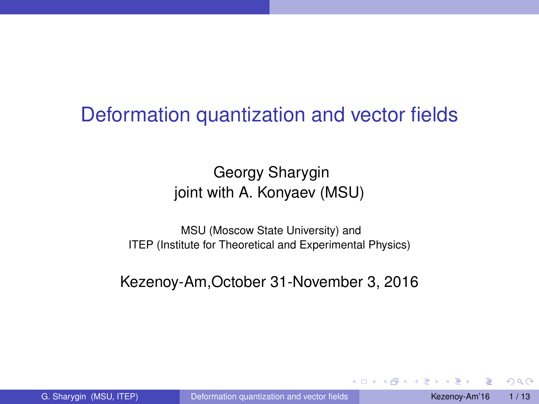# Deformation quantization and vector fields

# Georgy Sharygin joint with A. Konyaev (MSU)

MSU (Moscow State University) and ITEP (Institute for Theoretical and Experimental Physics)

<span id="page-0-0"></span>Kezenoy-Am,October 31-November 3, 2016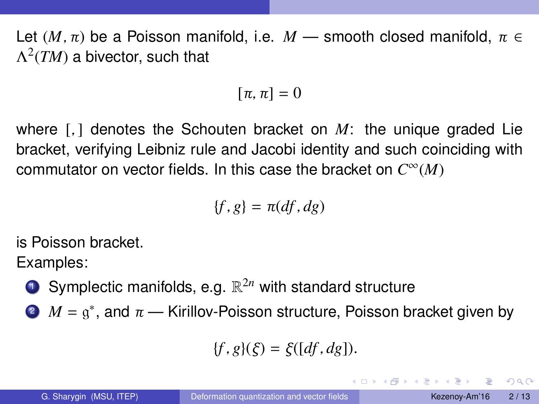Let  $(M, \pi)$  be a Poisson manifold, i.e.  $M$  — smooth closed manifold,  $\pi \in$  $\Lambda^2(TM)$  a bivector, such that

$$
[\pi,\pi]=0
$$

where [*,* ] denotes the Schouten bracket on *M*: the unique graded Lie bracket, verifying Leibniz rule and Jacobi identity and such coinciding with commutator on vector fields. In this case the bracket on *C* <sup>∞</sup>(*M*)

$$
\{f,g\}=\pi(df,dg)
$$

is Poisson bracket.

Examples:

- **D** Symplectic manifolds, e.g.  $\mathbb{R}^{2n}$  with standard structure
- $2^{\degree}$  *M* =  $g^*$ , and  $\pi$  Kirillov-Poisson structure, Poisson bracket given by

$$
\{f,g\}(\xi)=\xi([df,dg]).
$$

 $PQQ$ 

イロメス 何 メスミメス ミメーミ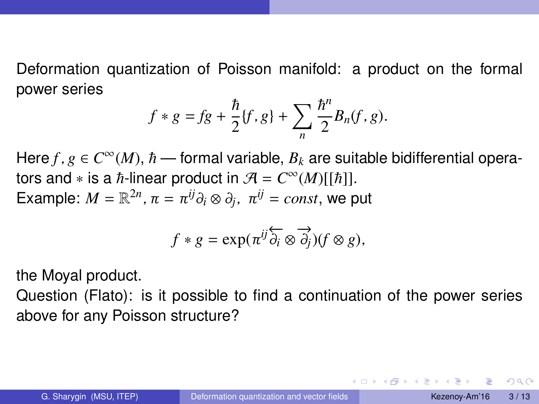Deformation quantization of Poisson manifold: a product on the formal power series

$$
f * g = fg + \frac{\hbar}{2} \{f, g\} + \sum_{n} \frac{\hbar^{n}}{2} B_{n}(f, g).
$$

Here  $f$  ,  $g \in C^{\infty}(M)$ ,  $\hbar$  — formal variable,  $B_k$  are suitable bidifferential operators and  $*$  is a  $\hbar$ -linear product in  $\mathcal{A} = C^{\infty}(M)[[\hbar]]$ . Example:  $M = \mathbb{R}^{2n}$ ,  $\pi = \pi^{ij} \partial_i \otimes \partial_j$ ,  $\pi^{ij} = const$ , we put

$$
f * g = \exp(\pi^{ij} \overleftrightarrow{\partial_i} \otimes \overrightarrow{\partial_j})(f \otimes g),
$$

the Moyal product.

Question (Flato): is it possible to find a continuation of the power series above for any Poisson structure?

 $\eta$ aa

イロメス 何 メスミメス ミメーミ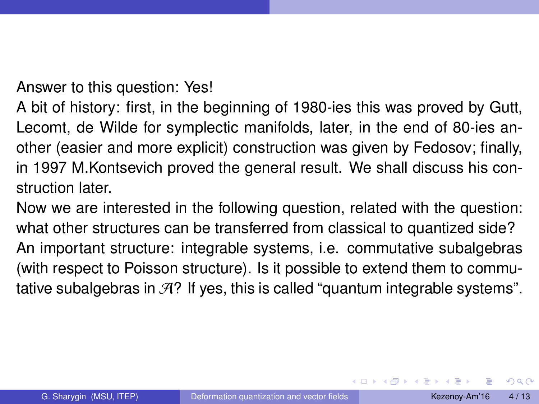Answer to this question: Yes!

A bit of history: first, in the beginning of 1980-ies this was proved by Gutt, Lecomt, de Wilde for symplectic manifolds, later, in the end of 80-ies another (easier and more explicit) construction was given by Fedosov; finally, in 1997 M.Kontsevich proved the general result. We shall discuss his construction later.

Now we are interested in the following question, related with the question: what other structures can be transferred from classical to quantized side? An important structure: integrable systems, i.e. commutative subalgebras (with respect to Poisson structure). Is it possible to extend them to commutative subalgebras in  $\mathcal{A}$ ? If yes, this is called "quantum integrable systems".

∢ ロ ▶ ィ母 ▶ ィ ヨ ▶ ィ ヨ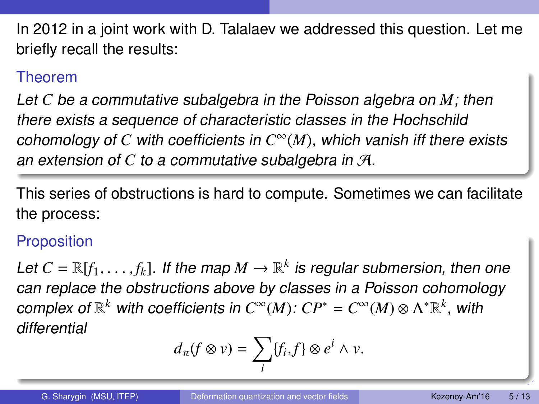In 2012 in a joint work with D. Talalaev we addressed this question. Let me briefly recall the results:

#### Theorem

Let *C* be a commutative subalgebra in the Poisson algebra on *M*; then there exists a sequence of characteristic classes in the Hochschild cohomology of *C* with coefficients in *C* <sup>∞</sup>(*M*), which vanish iff there exists an extension of *C* to a commutative subalgebra in A.

This series of obstructions is hard to compute. Sometimes we can facilitate the process:

## **Proposition**

Let  $C=\mathbb{R}[f_1,\ldots,f_k]$ . If the map  $M\to\mathbb{R}^k$  is regular submersion, then one can replace the obstructions above by classes in a Poisson cohomology  $\textit{complex of $\mathbb{R}^k$ with coefficients in $C^\infty(M)$: $CP^*=C^\infty(M)\otimes\Lambda^*\mathbb{R}^k$, with $p$-continuous.}$ differential

$$
d_{\pi}(f \otimes v) = \sum_{i} \{f_i, f\} \otimes e^i \wedge v.
$$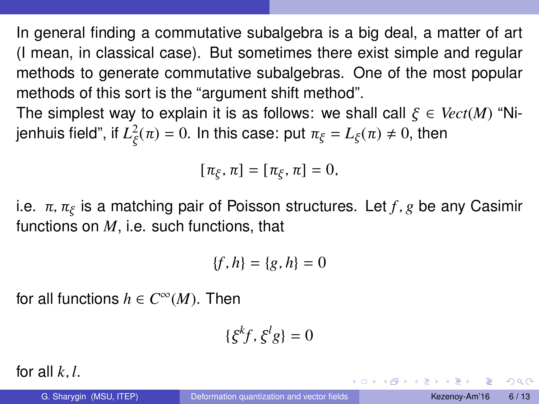In general finding a commutative subalgebra is a big deal, a matter of art (I mean, in classical case). But sometimes there exist simple and regular methods to generate commutative subalgebras. One of the most popular methods of this sort is the "argument shift method".

The simplest way to explain it is as follows: we shall call *ξ* ∈ *Vect*(*M*) "Nijenhuis field", if  $L^2_{\xi}(\pi) = 0$ . In this case: put  $\pi_{\xi} = L_{\xi}(\pi) \neq 0$ , then

$$
[\pi_{\xi},\pi]=[\pi_{\xi},\pi]=0,
$$

i.e. *π, π<sup>ξ</sup>* is a matching pair of Poisson structures. Let *f , g* be any Casimir functions on *M*, i.e. such functions, that

$$
\{f,h\}=\{g,h\}=0
$$

for all functions  $h \in C^{\infty}(M)$ . Then

$$
\{\xi^k f, \xi^l g\} = 0
$$

for all  $k, l$ .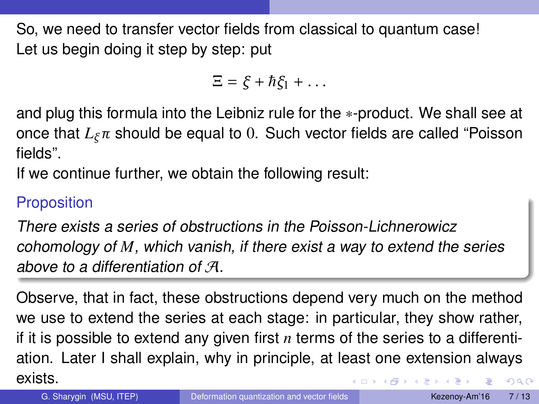So, we need to transfer vector fields from classical to quantum case! Let us begin doing it step by step: put

$$
\Xi = \xi + \hbar \xi_1 + \dots
$$

and plug this formula into the Leibniz rule for the ∗-product. We shall see at once that *Lξπ* should be equal to 0. Such vector fields are called "Poisson fields".

If we continue further, we obtain the following result:

## Proposition

There exists a series of obstructions in the Poisson-Lichnerowicz cohomology of *M*, which vanish, if there exist a way to extend the series above to a differentiation of A.

Observe, that in fact, these obstructions depend very much on the method we use to extend the series at each stage: in particular, they show rather, if it is possible to extend any given first *n* terms of the series to a differentiation. Later I shall explain, why in principle, at least one extension always exists.  $QQ$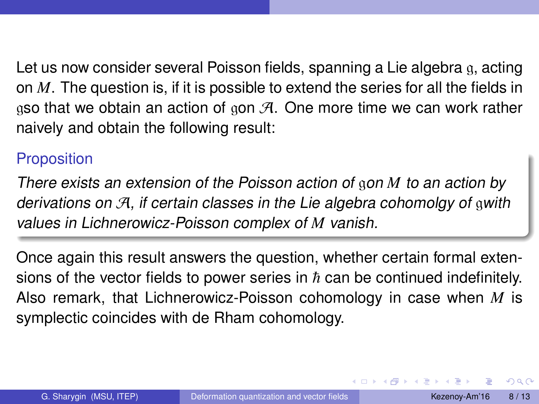Let us now consider several Poisson fields, spanning a Lie algebra q, acting on *M*. The question is, if it is possible to extend the series for all the fields in gso that we obtain an action of gon  $\mathcal{A}$ . One more time we can work rather naively and obtain the following result:

#### Proposition

There exists an extension of the Poisson action of gon *M* to an action by derivations on  $\mathcal{A}$ , if certain classes in the Lie algebra cohomolgy of gwith values in Lichnerowicz-Poisson complex of *M* vanish.

Once again this result answers the question, whether certain formal extensions of the vector fields to power series in  $\hbar$  can be continued indefinitely. Also remark, that Lichnerowicz-Poisson cohomology in case when *M* is symplectic coincides with de Rham cohomology.

 $2990$ 

イロメス 何 メスミメス ミメーミ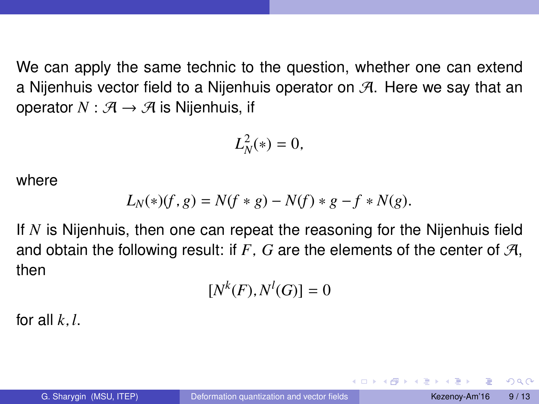We can apply the same technic to the question, whether one can extend a Nijenhuis vector field to a Nijenhuis operator on  $\mathcal{A}$ . Here we say that an operator  $N : \mathcal{A} \rightarrow \mathcal{A}$  is Nijenhuis, if

$$
L_N^2(*)=0,
$$

where

$$
L_N(*) (f, g) = N(f * g) - N(f) * g - f * N(g).
$$

If *N* is Nijenhuis, then one can repeat the reasoning for the Nijenhuis field and obtain the following result: if  $F$ ,  $G$  are the elements of the center of  $\mathcal{A}$ , then

$$
[N^k(F), N^l(G)] = 0
$$

for all  $k, l$ .

 $200$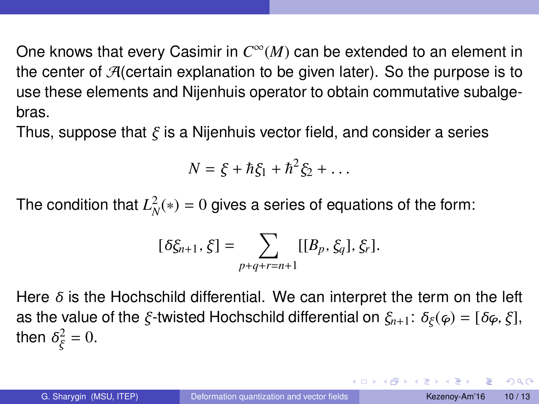One knows that every Casimir in  $C^\infty(M)$  can be extended to an element in the center of  $\mathcal{A}$  (certain explanation to be given later). So the purpose is to use these elements and Nijenhuis operator to obtain commutative subalgebras.

Thus, suppose that *ξ* is a Nijenhuis vector field, and consider a series

$$
N=\xi+\hbar\xi_1+\hbar^2\xi_2+\ldots
$$

The condition that  $L_N^2(*) = 0$  gives a series of equations of the form:

$$
[\delta \xi_{n+1}, \xi] = \sum_{p+q+r=n+1} [[B_p, \xi_q], \xi_r].
$$

Here *δ* is the Hochschild differential. We can interpret the term on the left as the value of the *ξ* -twisted Hochschild differential on *ξn*+1: *δ<sup>ξ</sup>* (*ϕ*) = [*δϕ, ξ* ], then  $\delta_{\xi}^2 = 0$ .

KEL KALK LELKEL ARA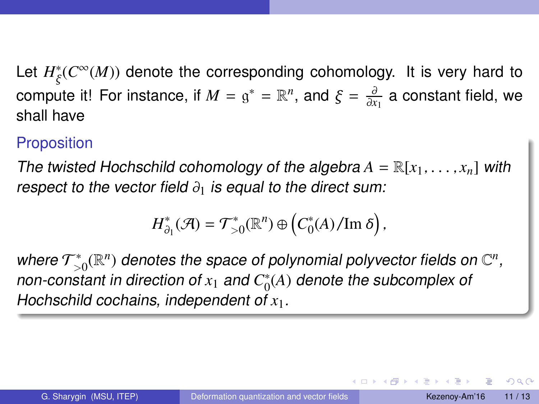Let  $H^*_{\xi}(C^{\infty}(M))$  denote the corresponding cohomology. It is very hard to compute it! For instance, if  $M = g^* = \mathbb{R}^n$ , and  $\xi = \frac{\partial}{\partial x_1}$  a constant field, we shall have

#### Proposition

The twisted Hochschild cohomology of the algebra  $A = \mathbb{R}[x_1, \ldots, x_n]$  with respect to the vector field *∂*<sup>1</sup> is equal to the direct sum:

$$
H_{\partial_1}^*(\mathcal{A})=\mathcal{T}_{>0}^*(\mathbb{R}^n)\oplus \left(C_0^*(A)/\mathrm{Im}\,\delta\right),\,
$$

where  $\mathcal{T}^*_\leq$  $\mathbb{C}^*_{>0}(\mathbb{R}^n)$  denotes the space of polynomial polyvector fields on  $\mathbb{C}^n,$ non-constant in direction of  $x_1$  and  $C_0^*$  $_0^{\ast}(A)$  denote the subcomplex of Hochschild cochains, independent of *x*1.

 $200$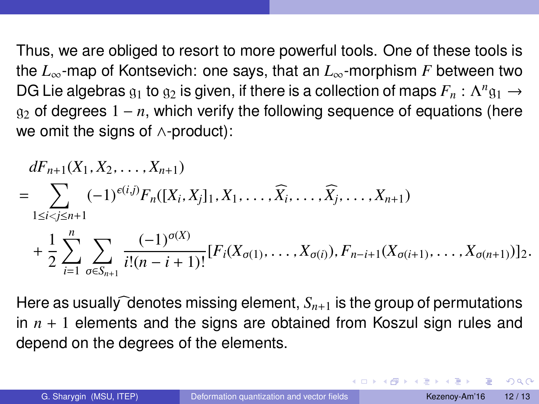Thus, we are obliged to resort to more powerful tools. One of these tools is the *L*∞-map of Kontsevich: one says, that an *L*∞-morphism *F* between two DG Lie algebras  $\mathfrak{g}_1$  to  $\mathfrak{g}_2$  is given, if there is a collection of maps  $F_n: \Lambda^n \mathfrak{g}_1 \to$  $g_2$  of degrees  $1 - n$ , which verify the following sequence of equations (here we omit the signs of ∧-product):

$$
dF_{n+1}(X_1, X_2, \ldots, X_{n+1})
$$
\n
$$
= \sum_{1 \leq i < j \leq n+1} (-1)^{\epsilon(i,j)} F_n([X_i, X_j]_1, X_1, \ldots, \widehat{X_i}, \ldots, \widehat{X_j}, \ldots, X_{n+1})
$$
\n
$$
+ \frac{1}{2} \sum_{i=1}^n \sum_{\sigma \in S_{n+1}} \frac{(-1)^{\sigma(X)}}{i!(n-i+1)!} [F_i(X_{\sigma(1)}, \ldots, X_{\sigma(i)}), F_{n-i+1}(X_{\sigma(i+1)}, \ldots, X_{\sigma(n+1)})]_2.
$$

Here as usually denotes missing element,  $S_{n+1}$  is the group of permutations in *n* + 1 elements and the signs are obtained from Koszul sign rules and depend on the degrees of the elements.

 $QQ$ 

E KERKERKHER